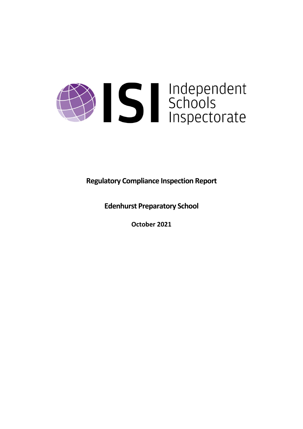

**Regulatory Compliance Inspection Report**

**Edenhurst Preparatory School**

**October 2021**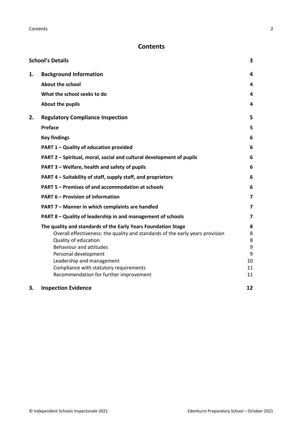# **Contents**

|    | <b>School's Details</b>                                                       | 3                       |
|----|-------------------------------------------------------------------------------|-------------------------|
| 1. | <b>Background Information</b>                                                 | 4                       |
|    | <b>About the school</b>                                                       | 4                       |
|    | What the school seeks to do                                                   | 4                       |
|    | About the pupils                                                              | 4                       |
| 2. | <b>Regulatory Compliance Inspection</b>                                       | 5                       |
|    | <b>Preface</b>                                                                | 5                       |
|    | <b>Key findings</b>                                                           | 6                       |
|    | PART 1 - Quality of education provided                                        | 6                       |
|    | PART 2 - Spiritual, moral, social and cultural development of pupils          | 6                       |
|    | PART 3 - Welfare, health and safety of pupils                                 | 6                       |
|    | PART 4 – Suitability of staff, supply staff, and proprietors                  | 6                       |
|    | PART 5 - Premises of and accommodation at schools                             | 6                       |
|    | <b>PART 6 - Provision of information</b>                                      | $\overline{\mathbf{z}}$ |
|    | PART 7 - Manner in which complaints are handled                               | $\overline{\mathbf{z}}$ |
|    | PART 8 - Quality of leadership in and management of schools                   | 7                       |
|    | The quality and standards of the Early Years Foundation Stage                 | 8                       |
|    | Overall effectiveness: the quality and standards of the early years provision | 8                       |
|    | Quality of education<br>Behaviour and attitudes                               | 8<br>9                  |
|    | Personal development                                                          | 9                       |
|    | Leadership and management                                                     | 10                      |
|    | Compliance with statutory requirements                                        | 11                      |
|    | Recommendation for further improvement                                        | 11                      |
| 3. | <b>Inspection Evidence</b>                                                    | 12                      |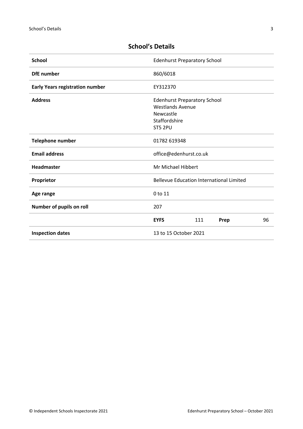| <b>School</b>                          | <b>Edenhurst Preparatory School</b>                                                                     |  |  |
|----------------------------------------|---------------------------------------------------------------------------------------------------------|--|--|
| <b>DfE</b> number                      | 860/6018                                                                                                |  |  |
| <b>Early Years registration number</b> | EY312370                                                                                                |  |  |
| <b>Address</b>                         | <b>Edenhurst Preparatory School</b><br><b>Westlands Avenue</b><br>Newcastle<br>Staffordshire<br>ST5 2PU |  |  |
| <b>Telephone number</b>                | 01782 619348                                                                                            |  |  |
| <b>Email address</b>                   | office@edenhurst.co.uk                                                                                  |  |  |
| <b>Headmaster</b>                      | Mr Michael Hibbert                                                                                      |  |  |
| Proprietor                             | <b>Bellevue Education International Limited</b>                                                         |  |  |
| Age range                              | 0 to 11                                                                                                 |  |  |
| Number of pupils on roll               | 207                                                                                                     |  |  |
|                                        | <b>EYFS</b><br>111<br>96<br>Prep                                                                        |  |  |
| <b>Inspection dates</b>                | 13 to 15 October 2021                                                                                   |  |  |

# <span id="page-2-0"></span>**School's Details**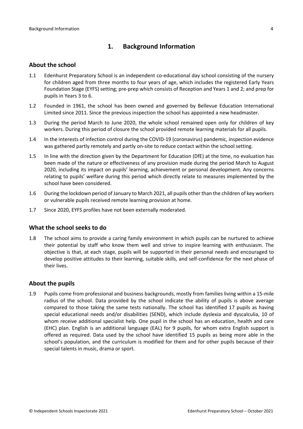## <span id="page-3-0"></span>**1. Background Information**

#### <span id="page-3-1"></span>**About the school**

- 1.1 Edenhurst Preparatory School is an independent co-educational day school consisting of the nursery for children aged from three months to four years of age, which includes the registered Early Years Foundation Stage (EYFS) setting; pre-prep which consists of Reception and Years 1 and 2; and prep for pupils in Years 3 to 6.
- 1.2 Founded in 1961, the school has been owned and governed by Bellevue Education International Limited since 2011. Since the previous inspection the school has appointed a new headmaster.
- 1.3 During the period March to June 2020, the whole school remained open only for children of key workers. During this period of closure the school provided remote learning materials for all pupils.
- 1.4 In the interests of infection control during the COVID-19 (coronavirus) pandemic, inspection evidence was gathered partly remotely and partly on-site to reduce contact within the school setting.
- 1.5 In line with the direction given by the Department for Education (DfE) at the time, no evaluation has been made of the nature or effectiveness of any provision made during the period March to August 2020, including its impact on pupils' learning, achievement or personal development. Any concerns relating to pupils' welfare during this period which directly relate to measures implemented by the school have been considered.
- 1.6 During the lockdown period of January to March 2021, all pupils other than the children of key workers or vulnerable pupils received remote learning provision at home.
- 1.7 Since 2020, EYFS profiles have not been externally moderated.

### <span id="page-3-2"></span>**What the school seeks to do**

1.8 The school aims to provide a caring family environment in which pupils can be nurtured to achieve their potential by staff who know them well and strive to inspire learning with enthusiasm. The objective is that, at each stage, pupils will be supported in their personal needs and encouraged to develop positive attitudes to their learning, suitable skills, and self-confidence for the next phase of their lives.

### <span id="page-3-3"></span>**About the pupils**

1.9 Pupils come from professional and business backgrounds, mostly from families living within a 15-mile radius of the school. Data provided by the school indicate the ability of pupils is above average compared to those taking the same tests nationally. The school has identified 17 pupils as having special educational needs and/or disabilities (SEND), which include dyslexia and dyscalculia, 10 of whom receive additional specialist help. One pupil in the school has an education, health and care (EHC) plan. English is an additional language (EAL) for 9 pupils, for whom extra English support is offered as required. Data used by the school have identified 15 pupils as being more able in the school's population, and the curriculum is modified for them and for other pupils because of their special talents in music, drama or sport.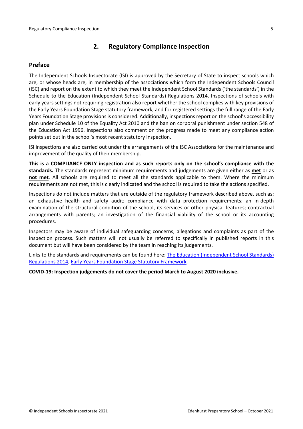## <span id="page-4-0"></span>**2. Regulatory Compliance Inspection**

### <span id="page-4-1"></span>**Preface**

The Independent Schools Inspectorate (ISI) is approved by the Secretary of State to inspect schools which are, or whose heads are, in membership of the associations which form the Independent Schools Council (ISC) and report on the extent to which they meet the Independent School Standards ('the standards') in the Schedule to the Education (Independent School Standards) Regulations 2014. Inspections of schools with early years settings not requiring registration also report whether the school complies with key provisions of the Early Years Foundation Stage statutory framework, and for registered settings the full range of the Early Years Foundation Stage provisions is considered. Additionally, inspections report on the school's accessibility plan under Schedule 10 of the Equality Act 2010 and the ban on corporal punishment under section 548 of the Education Act 1996. Inspections also comment on the progress made to meet any compliance action points set out in the school's most recent statutory inspection.

ISI inspections are also carried out under the arrangements of the ISC Associations for the maintenance and improvement of the quality of their membership.

**This is a COMPLIANCE ONLY inspection and as such reports only on the school's compliance with the standards.** The standards represent minimum requirements and judgements are given either as **met** or as **not met**. All schools are required to meet all the standards applicable to them. Where the minimum requirements are not met, this is clearly indicated and the school is required to take the actions specified.

Inspections do not include matters that are outside of the regulatory framework described above, such as: an exhaustive health and safety audit; compliance with data protection requirements; an in-depth examination of the structural condition of the school, its services or other physical features; contractual arrangements with parents; an investigation of the financial viability of the school or its accounting procedures.

Inspectors may be aware of individual safeguarding concerns, allegations and complaints as part of the inspection process. Such matters will not usually be referred to specifically in published reports in this document but will have been considered by the team in reaching its judgements.

Links to the standards and requirements can be found here: The Education [\(Independent](http://www.legislation.gov.uk/uksi/2014/3283/contents/made) School Standards) [Regulations](http://www.legislation.gov.uk/uksi/2014/3283/contents/made) 2014, Early Years Foundation Stage Statutory [Framework.](https://www.gov.uk/government/publications/early-years-foundation-stage-framework--2)

**COVID-19: Inspection judgements do not cover the period March to August 2020 inclusive.**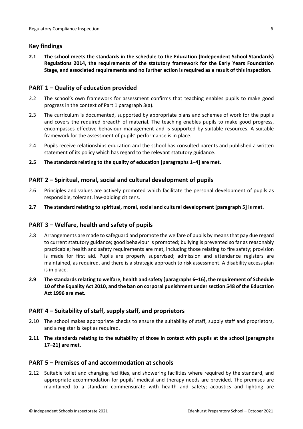## <span id="page-5-0"></span>**Key findings**

**2.1 The school meets the standards in the schedule to the Education (Independent School Standards) Regulations 2014, the requirements of the statutory framework for the Early Years Foundation Stage, and associated requirements and no further action is required as a result of this inspection.**

## <span id="page-5-1"></span>**PART 1 – Quality of education provided**

- 2.2 The school's own framework for assessment confirms that teaching enables pupils to make good progress in the context of Part 1 paragraph 3(a).
- 2.3 The curriculum is documented, supported by appropriate plans and schemes of work for the pupils and covers the required breadth of material. The teaching enables pupils to make good progress, encompasses effective behaviour management and is supported by suitable resources. A suitable framework for the assessment of pupils' performance is in place.
- 2.4 Pupils receive relationships education and the school has consulted parents and published a written statement of its policy which has regard to the relevant statutory guidance.
- **2.5 The standards relating to the quality of education [paragraphs 1–4] are met.**

## <span id="page-5-2"></span>**PART 2 – Spiritual, moral, social and cultural development of pupils**

- 2.6 Principles and values are actively promoted which facilitate the personal development of pupils as responsible, tolerant, law-abiding citizens.
- **2.7 The standard relating to spiritual, moral, social and cultural development [paragraph 5] is met.**

### <span id="page-5-3"></span>**PART 3 – Welfare, health and safety of pupils**

- 2.8 Arrangements are made to safeguard and promote the welfare of pupils by means that pay due regard to current statutory guidance; good behaviour is promoted; bullying is prevented so far as reasonably practicable; health and safety requirements are met, including those relating to fire safety; provision is made for first aid. Pupils are properly supervised; admission and attendance registers are maintained, as required, and there is a strategic approach to risk assessment. A disability access plan is in place.
- **2.9 The standardsrelating to welfare, health and safety [paragraphs 6–16], the requirement of Schedule 10 of the Equality Act 2010, and the ban on corporal punishment undersection 548 of the Education Act 1996 are met.**

### <span id="page-5-4"></span>**PART 4 – Suitability of staff, supply staff, and proprietors**

- 2.10 The school makes appropriate checks to ensure the suitability of staff, supply staff and proprietors, and a register is kept as required.
- **2.11 The standards relating to the suitability of those in contact with pupils at the school [paragraphs 17–21] are met.**

### <span id="page-5-5"></span>**PART 5 – Premises of and accommodation at schools**

2.12 Suitable toilet and changing facilities, and showering facilities where required by the standard, and appropriate accommodation for pupils' medical and therapy needs are provided. The premises are maintained to a standard commensurate with health and safety; acoustics and lighting are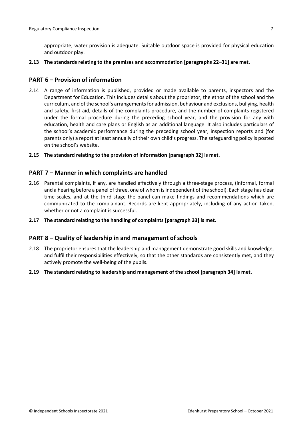appropriate; water provision is adequate. Suitable outdoor space is provided for physical education and outdoor play.

#### **2.13 The standards relating to the premises and accommodation [paragraphs 22–31] are met.**

### <span id="page-6-0"></span>**PART 6 – Provision of information**

- 2.14 A range of information is published, provided or made available to parents, inspectors and the Department for Education. This includes details about the proprietor, the ethos of the school and the curriculum, and of the school's arrangementsfor admission, behaviour and exclusions, bullying, health and safety, first aid, details of the complaints procedure, and the number of complaints registered under the formal procedure during the preceding school year, and the provision for any with education, health and care plans or English as an additional language. It also includes particulars of the school's academic performance during the preceding school year, inspection reports and (for parents only) a report at least annually of their own child's progress. The safeguarding policy is posted on the school's website.
- **2.15 The standard relating to the provision of information [paragraph 32] is met.**

#### <span id="page-6-1"></span>**PART 7 – Manner in which complaints are handled**

- 2.16 Parental complaints, if any, are handled effectively through a three-stage process, (informal, formal and a hearing before a panel of three, one of whom isindependent of the school). Each stage has clear time scales, and at the third stage the panel can make findings and recommendations which are communicated to the complainant. Records are kept appropriately, including of any action taken, whether or not a complaint is successful.
- **2.17 The standard relating to the handling of complaints [paragraph 33] is met.**

#### <span id="page-6-2"></span>**PART 8 – Quality of leadership in and management of schools**

- 2.18 The proprietor ensures that the leadership and management demonstrate good skills and knowledge, and fulfil their responsibilities effectively, so that the other standards are consistently met, and they actively promote the well-being of the pupils.
- **2.19 The standard relating to leadership and management of the school [paragraph 34] is met.**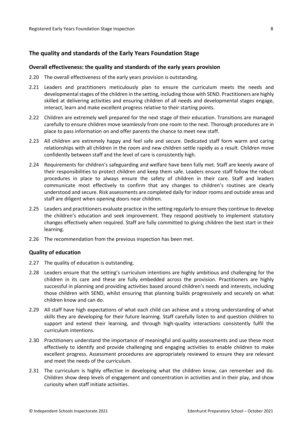#### <span id="page-7-0"></span>**The quality and standards of the Early Years Foundation Stage**

#### <span id="page-7-1"></span>**Overall effectiveness: the quality and standards of the early years provision**

- 2.20 The overall effectiveness of the early years provision is outstanding.
- 2.21 Leaders and practitioners meticulously plan to ensure the curriculum meets the needs and developmental stages of the children in the setting, including those with SEND. Practitioners are highly skilled at delivering activities and ensuring children of all needs and developmental stages engage, interact, learn and make excellent progress relative to their starting points.
- 2.22 Children are extremely well prepared for the next stage of their education. Transitions are managed carefully to ensure children move seamlessly from one room to the next. Thorough procedures are in place to pass information on and offer parents the chance to meet new staff.
- 2.23 All children are extremely happy and feel safe and secure. Dedicated staff form warm and caring relationships with all children in the room and new children settle rapidly as a result. Children move confidently between staff and the level of care is consistently high.
- 2.24 Requirements for children's safeguarding and welfare have been fully met. Staff are keenly aware of their responsibilities to protect children and keep them safe. Leaders ensure staff follow the robust procedures in place to always ensure the safety of children in their care. Staff and leaders communicate most effectively to confirm that any changes to children's routines are clearly understood and secure. Risk assessments are completed daily for indoor rooms and outside areas and staff are diligent when opening doors near children.
- 2.25 Leaders and practitioners evaluate practice in the setting regularly to ensure they continue to develop the children's education and seek improvement. They respond positively to implement statutory changes effectively when required. Staff are fully committed to giving children the best start in their learning.
- 2.26 The recommendation from the previous inspection has been met.

#### <span id="page-7-2"></span>**Quality of education**

- 2.27 The quality of education is outstanding.
- 2.28 Leaders ensure that the setting's curriculum intentions are highly ambitious and challenging for the children in its care and these are fully embedded across the provision. Practitioners are highly successful in planning and providing activities based around children's needs and interests, including those children with SEND, whilst ensuring that planning builds progressively and securely on what children know and can do.
- 2.29 All staff have high expectations of what each child can achieve and a strong understanding of what skills they are developing for their future learning. Staff carefully listen to and question children to support and extend their learning, and through high-quality interactions consistently fulfil the curriculum intentions.
- 2.30 Practitioners understand the importance of meaningful and quality assessments and use these most effectively to identify and provide challenging and engaging activities to enable children to make excellent progress. Assessment procedures are appropriately reviewed to ensure they are relevant and meet the needs of the curriculum.
- 2.31 The curriculum is highly effective in developing what the children know, can remember and do. Children show deep levels of engagement and concentration in activities and in their play, and show curiosity when staff initiate activities.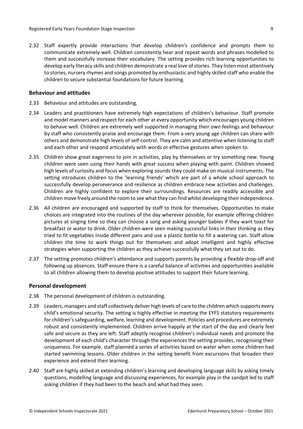2.32 Staff expertly provide interactions that develop children's confidence and prompts them to communicate extremely well. Children consistently hear and repeat words and phrases modelled to them and successfully increase their vocabulary. The setting provides rich learning opportunities to develop early literacy skills and children demonstrate a real love of stories. They listen most attentively to stories, nursery rhymes and songs promoted by enthusiastic and highly skilled staff who enable the children to secure substantial foundations for future learning.

#### <span id="page-8-0"></span>**Behaviour and attitudes**

- 2.33 Behaviour and attitudes are outstanding.
- 2.34 Leaders and practitioners have extremely high expectations of children's behaviour. Staff promote and model manners and respect for each other at every opportunity which encourages young children to behave well. Children are extremely well supported in managing their own feelings and behaviour by staff who consistently praise and encourage them. From a very young age children can share with others and demonstrate high levels of self-control. They are calm and attentive when listening to staff and each other and respond articulately with words or effective gestures when spoken to.
- 2.35 Children show great eagerness to join in activities, play by themselves or try something new. Young children were seen using their hands with great success when playing with paint. Children showed high levels of curiosity and focus when exploring sounds they could make on musical instruments. The setting introduces children to the 'learning friends' which are part of a whole school approach to successfully develop perseverance and resilience as children embrace new activities and challenges. Children are highly confident to explore their surroundings. Resources are readily accessible and children move freely around the room to see what they can find whilst developing their independence.
- 2.36 All children are encouraged and supported by staff to think for themselves. Opportunities to make choices are integrated into the routines of the day wherever possible, for example offering children pictures at singing time so they can choose a song and asking younger babies if they want toast for breakfast or water to drink. Older children were seen making successful links in their thinking as they tried to fit vegetables inside different pans and use a plastic bottle to fill a watering can. Staff allow children the time to work things out for themselves and adopt intelligent and highly effective strategies when supporting the children as they achieve successfully what they set out to do.
- 2.37 The setting promotes children's attendance and supports parents by providing a flexible drop-off and following up absences. Staff ensure there is a careful balance of activities and opportunities available to all children allowing them to develop positive attitudes to support their future learning.

#### <span id="page-8-1"></span>**Personal development**

- 2.38 The personal development of children is outstanding.
- 2.39 Leaders, managers and staff collectively deliver high levels of care to the children which supports every child's emotional security. The setting is highly effective in meeting the EYFS statutory requirements for children'ssafeguarding, welfare, learning and development. Policies and procedures are extremely robust and consistently implemented. Children arrive happily at the start of the day and clearly feel safe and secure as they are left. Staff adeptly recognise children's individual needs and promote the development of each child's character through the experiences the setting provides, recognising their uniqueness. For example, staff planned a series of activities based on water when some children had started swimming lessons. Older children in the setting benefit from excursions that broaden their experience and extend their learning.
- 2.40 Staff are highly skilled at extending children's learning and developing language skills by asking timely questions, modelling language and discussing experiences, for example play in the sandpit led to staff asking children if they had been to the beach and what had they seen.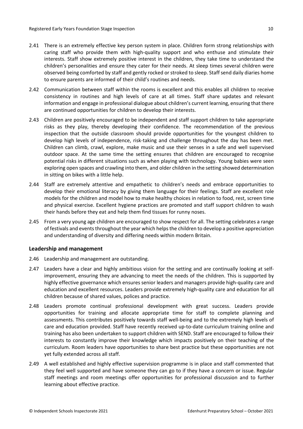- 2.41 There is an extremely effective key person system in place. Children form strong relationships with caring staff who provide them with high-quality support and who enthuse and stimulate their interests. Staff show extremely positive interest in the children, they take time to understand the children's personalities and ensure they cater for their needs. At sleep times several children were observed being comforted by staff and gently rocked or stroked to sleep. Staff send daily diaries home to ensure parents are informed of their child's routines and needs.
- 2.42 Communication between staff within the rooms is excellent and this enables all children to receive consistency in routines and high levels of care at all times. Staff share updates and relevant information and engage in professional dialogue about children's current learning, ensuring that there are continued opportunities for children to develop their interests.
- 2.43 Children are positively encouraged to be independent and staff support children to take appropriate risks as they play, thereby developing their confidence. The recommendation of the previous inspection that the outside classroom should provide opportunities for the youngest children to develop high levels of independence, risk-taking and challenge throughout the day has been met. Children can climb, crawl, explore, make music and use their senses in a safe and well supervised outdoor space. At the same time the setting ensures that children are encouraged to recognise potential risks in different situations such as when playing with technology. Young babies were seen exploring open spaces and crawling into them, and older children in the setting showed determination in sitting on bikes with a little help.
- 2.44 Staff are extremely attentive and empathetic to children's needs and embrace opportunities to develop their emotional literacy by giving them language for their feelings. Staff are excellent role models for the children and model how to make healthy choices in relation to food, rest, screen time and physical exercise. Excellent hygiene practices are promoted and staff support children to wash their hands before they eat and help them find tissues for runny noses.
- 2.45 From a very young age children are encouraged to show respect for all. The setting celebrates a range of festivals and events throughout the year which helps the children to develop a positive appreciation and understanding of diversity and differing needs within modern Britain.

#### <span id="page-9-0"></span>**Leadership and management**

- 2.46 Leadership and management are outstanding.
- 2.47 Leaders have a clear and highly ambitious vision for the setting and are continually looking at selfimprovement, ensuring they are advancing to meet the needs of the children. This is supported by highly effective governance which ensures senior leaders and managers provide high-quality care and education and excellent resources. Leaders provide extremely high-quality care and education for all children because of shared values, polices and practice.
- 2.48 Leaders promote continual professional development with great success. Leaders provide opportunities for training and allocate appropriate time for staff to complete planning and assessments. This contributes positively towards staff well-being and to the extremely high levels of care and education provided. Staff have recently received up-to-date curriculum training online and training has also been undertaken to support children with SEND. Staff are encouraged to follow their interests to constantly improve their knowledge which impacts positively on their teaching of the curriculum. Room leaders have opportunities to share best practice but these opportunities are not yet fully extended across all staff.
- 2.49 A well established and highly effective supervision programme is in place and staff commented that they feel well supported and have someone they can go to if they have a concern or issue. Regular staff meetings and room meetings offer opportunities for professional discussion and to further learning about effective practice.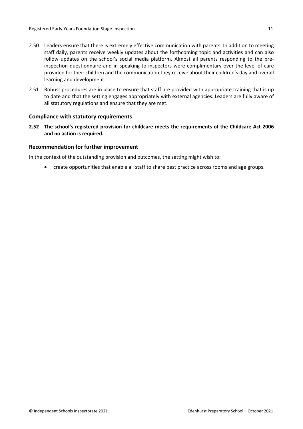- 2.50 Leaders ensure that there is extremely effective communication with parents. In addition to meeting staff daily, parents receive weekly updates about the forthcoming topic and activities and can also follow updates on the school's social media platform. Almost all parents responding to the preinspection questionnaire and in speaking to inspectors were complimentary over the level of care provided for their children and the communication they receive about their children's day and overall learning and development.
- 2.51 Robust procedures are in place to ensure that staff are provided with appropriate training that is up to date and that the setting engages appropriately with external agencies. Leaders are fully aware of all statutory regulations and ensure that they are met.

#### <span id="page-10-0"></span>**Compliance with statutory requirements**

**2.52 The school's registered provision for childcare meets the requirements of the Childcare Act 2006 and no action is required.**

#### <span id="page-10-1"></span>**Recommendation for further improvement**

In the context of the outstanding provision and outcomes, the setting might wish to:

create opportunities that enable all staff to share best practice across rooms and age groups.